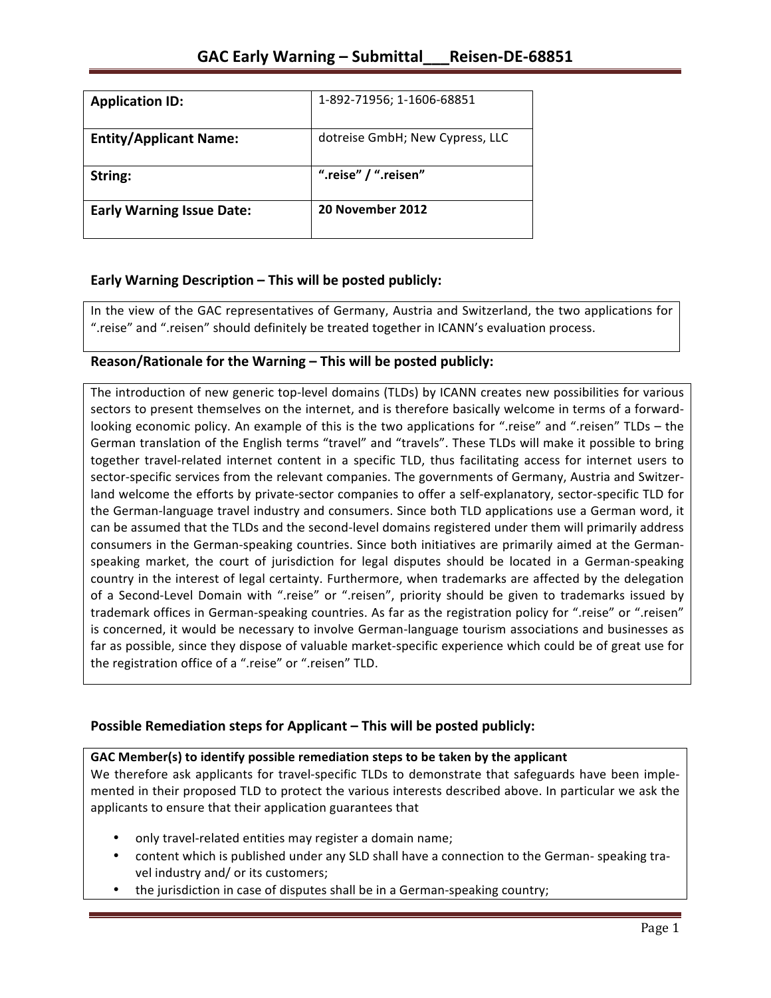| <b>Application ID:</b>           | 1-892-71956; 1-1606-68851       |
|----------------------------------|---------------------------------|
| <b>Entity/Applicant Name:</b>    | dotreise GmbH; New Cypress, LLC |
| String:                          | ".reise" / ".reisen"            |
| <b>Early Warning Issue Date:</b> | 20 November 2012                |

## **Early Warning Description – This will be posted publicly:**

In the view of the GAC representatives of Germany, Austria and Switzerland, the two applications for ".reise" and ".reisen" should definitely be treated together in ICANN's evaluation process.

## **Reason/Rationale for the Warning – This will be posted publicly:**

The introduction of new generic top-level domains (TLDs) by ICANN creates new possibilities for various sectors to present themselves on the internet, and is therefore basically welcome in terms of a forwardlooking economic policy. An example of this is the two applications for ".reise" and ".reisen" TLDs – the German translation of the English terms "travel" and "travels". These TLDs will make it possible to bring together travel-related internet content in a specific TLD, thus facilitating access for internet users to sector-specific services from the relevant companies. The governments of Germany, Austria and Switzerland welcome the efforts by private-sector companies to offer a self-explanatory, sector-specific TLD for the German-language travel industry and consumers. Since both TLD applications use a German word, it can be assumed that the TLDs and the second-level domains registered under them will primarily address consumers in the German-speaking countries. Since both initiatives are primarily aimed at the Germanspeaking market, the court of jurisdiction for legal disputes should be located in a German-speaking country in the interest of legal certainty. Furthermore, when trademarks are affected by the delegation of a Second-Level Domain with ".reise" or ".reisen", priority should be given to trademarks issued by trademark offices in German-speaking countries. As far as the registration policy for ".reise" or ".reisen" is concerned, it would be necessary to involve German-language tourism associations and businesses as far as possible, since they dispose of valuable market-specific experience which could be of great use for the registration office of a ".reise" or ".reisen" TLD.

## **Possible Remediation steps for Applicant – This will be posted publicly:**

### **GAC** Member(s) to identify possible remediation steps to be taken by the applicant

We therefore ask applicants for travel-specific TLDs to demonstrate that safeguards have been implemented in their proposed TLD to protect the various interests described above. In particular we ask the applicants to ensure that their application guarantees that

- only travel-related entities may register a domain name;
- content which is published under any SLD shall have a connection to the German- speaking travel industry and/ or its customers;
- the jurisdiction in case of disputes shall be in a German-speaking country;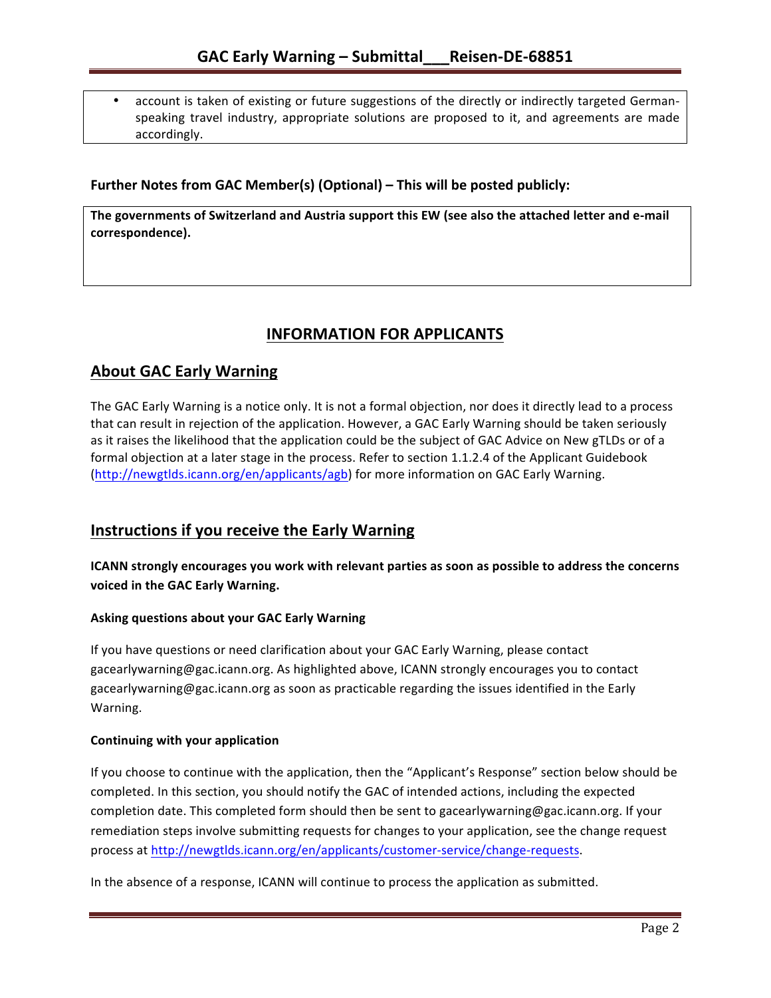account is taken of existing or future suggestions of the directly or indirectly targeted Germanspeaking travel industry, appropriate solutions are proposed to it, and agreements are made accordingly.

### **Further Notes from GAC Member(s) (Optional) – This will be posted publicly:**

The governments of Switzerland and Austria support this EW (see also the attached letter and e-mail **correspondence).**

# **INFORMATION FOR APPLICANTS**

# **About GAC Early Warning**

The GAC Early Warning is a notice only. It is not a formal objection, nor does it directly lead to a process that can result in rejection of the application. However, a GAC Early Warning should be taken seriously as it raises the likelihood that the application could be the subject of GAC Advice on New gTLDs or of a formal objection at a later stage in the process. Refer to section 1.1.2.4 of the Applicant Guidebook (http://newgtlds.icann.org/en/applicants/agb) for more information on GAC Early Warning.

## **Instructions if you receive the Early Warning**

**ICANN** strongly encourages you work with relevant parties as soon as possible to address the concerns **voiced in the GAC Early Warning.** 

### **Asking questions about your GAC Early Warning**

If you have questions or need clarification about your GAC Early Warning, please contact gacearlywarning@gac.icann.org. As highlighted above, ICANN strongly encourages you to contact gacearlywarning@gac.icann.org as soon as practicable regarding the issues identified in the Early Warning. 

### **Continuing with your application**

If you choose to continue with the application, then the "Applicant's Response" section below should be completed. In this section, you should notify the GAC of intended actions, including the expected completion date. This completed form should then be sent to gacearlywarning@gac.icann.org. If your remediation steps involve submitting requests for changes to your application, see the change request process at http://newgtlds.icann.org/en/applicants/customer-service/change-requests.

In the absence of a response, ICANN will continue to process the application as submitted.